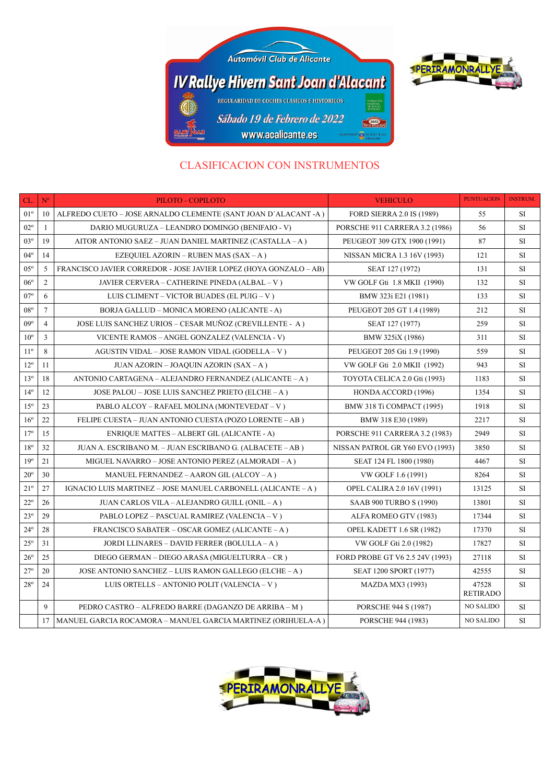



## CLASIFICACION CON INSTRUMENTOS

| CL.             | $N^{\circ}$    | PILOTO - COPILOTO                                                 | <b>VEHICULO</b>                 | <b>PUNTUACION</b>        | <b>INSTRUM.</b> |
|-----------------|----------------|-------------------------------------------------------------------|---------------------------------|--------------------------|-----------------|
| $01^{\circ}$    | 10             | ALFREDO CUETO – JOSE ARNALDO CLEMENTE (SANT JOAN D'ALACANT -A)    | FORD SIERRA 2.0 IS (1989)       | 55                       | SI              |
| $02^{\circ}$    | $\mathbf{1}$   | DARIO MUGURUZA – LEANDRO DOMINGO (BENIFAIO - V)                   | PORSCHE 911 CARRERA 3.2 (1986)  | 56                       | SI              |
| $03^{\circ}$    | 19             | AITOR ANTONIO SAEZ - JUAN DANIEL MARTINEZ (CASTALLA-A)            | PEUGEOT 309 GTX 1900 (1991)     | 87                       | <b>SI</b>       |
| $04^{\circ}$    | 14             | EZEQUIEL AZORIN – RUBEN MAS (SAX – A)                             | NISSAN MICRA 1.3 16V (1993)     | 121                      | SI              |
| $05^{\circ}$    | 5              | FRANCISCO JAVIER CORREDOR - JOSE JAVIER LOPEZ (HOYA GONZALO – AB) | SEAT 127 (1972)                 | 131                      | SI              |
| $06^{\circ}$    | 2              | JAVIER CERVERA – CATHERINE PINEDA (ALBAL – V)                     | VW GOLF Gti 1.8 MKII (1990)     | 132                      | SI              |
| $07^{\circ}$    | 6              | LUIS CLIMENT – VICTOR BUADES (EL PUIG – V)                        | BMW 323i E21 (1981)             | 133                      | SI              |
| $08^{\circ}$    | $\tau$         | BORJA GALLUD - MONICA MORENO (ALICANTE - A)                       | PEUGEOT 205 GT 1.4 (1989)       | 212                      | <b>SI</b>       |
| $09^{\circ}$    | $\overline{4}$ | JOSE LUIS SANCHEZ URIOS - CESAR MUÑOZ (CREVILLENTE - A)           | SEAT 127 (1977)                 | 259                      | <b>SI</b>       |
| $10^{\circ}$    | 3              | VICENTE RAMOS - ANGEL GONZALEZ (VALENCIA - V)                     | BMW 325iX (1986)                | 311                      | SI              |
| $11^{\circ}$    | 8              | AGUSTIN VIDAL – JOSE RAMON VIDAL (GODELLA – V)                    | PEUGEOT 205 Gti 1.9 (1990)      | 559                      | SI              |
| $12^{\circ}$    | 11             | <b>JUAN AZORIN – JOAQUIN AZORIN (SAX – A)</b>                     | VW GOLF Gti 2.0 MKII (1992)     | 943                      | SI              |
| $13^{\circ}$    | 18             | ANTONIO CARTAGENA – ALEJANDRO FERNANDEZ (ALICANTE – A)            | TOYOTA CELICA 2.0 Gti (1993)    | 1183                     | SI              |
| $14^{\circ}$    | 12             | JOSE PALOU - JOSE LUIS SANCHEZ PRIETO (ELCHE - A)                 | HONDA ACCORD (1996)             | 1354                     | <b>SI</b>       |
| $15^{\circ}$    | 23             | PABLO ALCOY – RAFAEL MOLINA (MONTEVEDAT – V)                      | BMW 318 Ti COMPACT (1995)       | 1918                     | <b>SI</b>       |
| $16^{\circ}$    | 22             | FELIPE CUESTA – JUAN ANTONIO CUESTA (POZO LORENTE – AB)           | BMW 318 E30 (1989)              | 2217                     | SI              |
| $17^{\circ}$    | 15             | ENRIQUE MATTES - ALBERT GIL (ALICANTE - A)                        | PORSCHE 911 CARRERA 3.2 (1983)  | 2949                     | SI              |
| $18^{\circ}$    | 32             | JUAN A. ESCRIBANO M. – JUAN ESCRIBANO G. (ALBACETE – AB)          | NISSAN PATROL GR Y60 EVO (1993) | 3850                     | SI              |
| 19 <sup>°</sup> | 21             | MIGUEL NAVARRO – JOSE ANTONIO PEREZ (ALMORADI – A)                | SEAT 124 FL 1800 (1980)         | 4467                     | SI              |
| $20^{\circ}$    | 30             | MANUEL FERNANDEZ – AARON GIL (ALCOY – A)                          | VW GOLF 1.6 (1991)              | 8264                     | <b>SI</b>       |
| $21^{\circ}$    | 27             | IGNACIO LUIS MARTINEZ – JOSE MANUEL CARBONELL (ALICANTE – A)      | OPEL CALIRA 2.0 16V (1991)      | 13125                    | SI              |
| $22^{\circ}$    | 26             | JUAN CARLOS VILA – ALEJANDRO GUILL (ONIL – A)                     | SAAB 900 TURBO S (1990)         | 13801                    | SI              |
| $23^{\circ}$    | 29             | PABLO LOPEZ – PASCUAL RAMIREZ (VALENCIA – V)                      | ALFA ROMEO GTV (1983)           | 17344                    | SI              |
| $24^{\circ}$    | 28             | FRANCISCO SABATER – OSCAR GOMEZ (ALICANTE – A)                    | OPEL KADETT 1.6 SR (1982)       | 17370                    | SI              |
| $25^{\circ}$    | 31             | JORDI LLINARES – DAVID FERRER (BOLULLA – A)                       | VW GOLF Gti 2.0 (1982)          | 17827                    | SI              |
| $26^{\circ}$    | 25             | DIEGO GERMAN - DIEGO ARASA (MIGUELTURRA - CR)                     | FORD PROBE GT V6 2.5 24V (1993) | 27118                    | SI              |
| $27^{\circ}$    | 20             | JOSE ANTONIO SANCHEZ – LUIS RAMON GALLEGO (ELCHE – A )            | SEAT 1200 SPORT (1977)          | 42555                    | <b>SI</b>       |
| $28^{\circ}$    | 24             | LUIS ORTELLS – ANTONIO POLIT (VALENCIA – V)                       | <b>MAZDA MX3 (1993)</b>         | 47528<br><b>RETIRADO</b> | SI              |
|                 | 9              | PEDRO CASTRO – ALFREDO BARRE (DAGANZO DE ARRIBA – M)              | PORSCHE 944 S (1987)            | <b>NO SALIDO</b>         | SI              |
|                 | 17             | MANUEL GARCIA ROCAMORA - MANUEL GARCIA MARTINEZ (ORIHUELA-A)      | PORSCHE 944 (1983)              | <b>NO SALIDO</b>         | SI              |

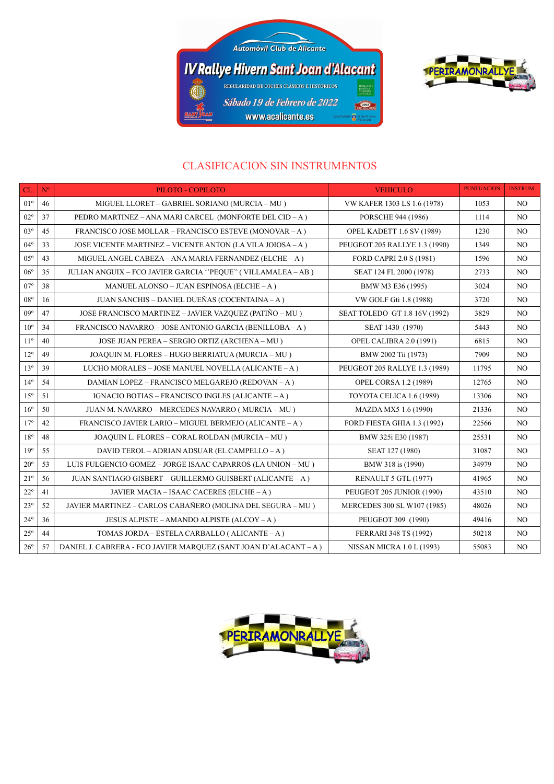



## CLASIFICACION SIN INSTRUMENTOS

| CL.             | $\mathbf{N}^{\text{o}}$ | PILOTO - COPILOTO                                                | <b>VEHICULO</b>                  | <b>PUNTUACION</b> | <b>INSTRUM.</b> |
|-----------------|-------------------------|------------------------------------------------------------------|----------------------------------|-------------------|-----------------|
| $01^{\circ}$    | 46                      | MIGUEL LLORET - GABRIEL SORIANO (MURCIA - MU)                    | VW KAFER 1303 LS 1.6 (1978)      | 1053              | NO.             |
| $02^{\circ}$    | 37                      | PEDRO MARTINEZ – ANA MARI CARCEL (MONFORTE DEL CID – A)          | PORSCHE 944 (1986)               | 1114              | N <sub>O</sub>  |
| $03^{\circ}$    | 45                      | FRANCISCO JOSE MOLLAR - FRANCISCO ESTEVE (MONOVAR - A)           | <b>OPEL KADETT 1.6 SV (1989)</b> | 1230              | NO.             |
| $04^{\circ}$    | 33                      | JOSE VICENTE MARTINEZ - VICENTE ANTON (LA VILA JOIOSA - A)       | PEUGEOT 205 RALLYE 1.3 (1990)    | 1349              | NO.             |
| $05^{\circ}$    | 43                      | MIGUEL ANGEL CABEZA – ANA MARIA FERNANDEZ (ELCHE – A)            | FORD CAPRI 2.0 S (1981)          | 1596              | NO.             |
| $06^{\circ}$    | 35                      | JULIAN ANGUIX - FCO JAVIER GARCIA "PEQUE" (VILLAMALEA - AB)      | SEAT 124 FL 2000 (1978)          | 2733              | NO              |
| $07^{\circ}$    | 38                      | MANUEL ALONSO - JUAN ESPINOSA (ELCHE - A)                        | BMW M3 E36 (1995)                | 3024              | NO.             |
| $08^{\circ}$    | 16                      | JUAN SANCHIS - DANIEL DUEÑAS (COCENTAINA - A)                    | VW GOLF Gti 1.8 (1988)           | 3720              | NO.             |
| $09^{\circ}$    | 47                      | JOSE FRANCISCO MARTINEZ - JAVIER VAZQUEZ (PATIÑO - MU)           | SEAT TOLEDO GT 1.8 16V (1992)    | 3829              | N <sub>O</sub>  |
| $10^{\circ}$    | 34                      | FRANCISCO NAVARRO - JOSE ANTONIO GARCIA (BENILLOBA - A)          | SEAT 1430 (1970)                 | 5443              | NO.             |
| $11^{\circ}$    | 40                      | JOSE JUAN PEREA - SERGIO ORTIZ (ARCHENA - MU)                    | <b>OPEL CALIBRA 2.0 (1991)</b>   | 6815              | NO              |
| $12^{\circ}$    | 49                      | JOAQUIN M. FLORES - HUGO BERRIATUA (MURCIA - MU)                 | BMW 2002 Tii (1973)              | 7909              | NO.             |
| 13 <sup>°</sup> | 39                      | LUCHO MORALES - JOSE MANUEL NOVELLA (ALICANTE - A)               | PEUGEOT 205 RALLYE 1.3 (1989)    | 11795             | NO.             |
| $14^{\circ}$    | 54                      | DAMIAN LOPEZ - FRANCISCO MELGAREJO (REDOVAN - A)                 | <b>OPEL CORSA 1.2 (1989)</b>     | 12765             | NO.             |
| $15^\circ$      | 51                      | IGNACIO BOTIAS - FRANCISCO INGLES (ALICANTE - A)                 | TOYOTA CELICA 1.6 (1989)         | 13306             | NO.             |
| $16^{\circ}$    | 50                      | JUAN M. NAVARRO - MERCEDES NAVARRO (MURCIA - MU)                 | MAZDA MX5 1.6 (1990)             | 21336             | NO.             |
| $17^{\circ}$    | 42                      | FRANCISCO JAVIER LARIO - MIGUEL BERMEJO (ALICANTE - A)           | FORD FIESTA GHIA 1.3 (1992)      | 22566             | NO.             |
| $18^{\circ}$    | 48                      | JOAQUIN L. FLORES - CORAL ROLDAN (MURCIA - MU)                   | BMW 325i E30 (1987)              | 25531             | NO.             |
| $19^{\circ}$    | 55                      | DAVID TEROL - ADRIAN ADSUAR (EL CAMPELLO - A)                    | SEAT 127 (1980)                  | 31087             | NO.             |
| $20^{\circ}$    | 53                      | LUIS FULGENCIO GOMEZ - JORGE ISAAC CAPARROS (LA UNION - MU)      | BMW 318 is (1990)                | 34979             | NO.             |
| $21^{\circ}$    | 56                      | JUAN SANTIAGO GISBERT – GUILLERMO GUISBERT (ALICANTE – A)        | RENAULT 5 GTL (1977)             | 41965             | NO.             |
| $22^{\circ}$    | 41                      | JAVIER MACIA – ISAAC CACERES (ELCHE – A)                         | PEUGEOT 205 JUNIOR (1990)        | 43510             | NO.             |
| $23^{\circ}$    | 52                      | JAVIER MARTINEZ - CARLOS CABAÑERO (MOLINA DEL SEGURA - MU)       | MERCEDES 300 SL W107 (1985)      | 48026             | NO.             |
| $24^{\circ}$    | 36                      | JESUS ALPISTE – AMANDO ALPISTE (ALCOY – A)                       | PEUGEOT 309 (1990)               | 49416             | NO.             |
| $25^\circ$      | 44                      | TOMAS JORDA – ESTELA CARBALLO (ALICANTE – A)                     | FERRARI 348 TS (1992)            | 50218             | NO.             |
| $26^{\circ}$    | 57                      | DANIEL J. CABRERA - FCO JAVIER MARQUEZ (SANT JOAN D'ALACANT – A) | <b>NISSAN MICRA 1.0 L (1993)</b> | 55083             | NO              |

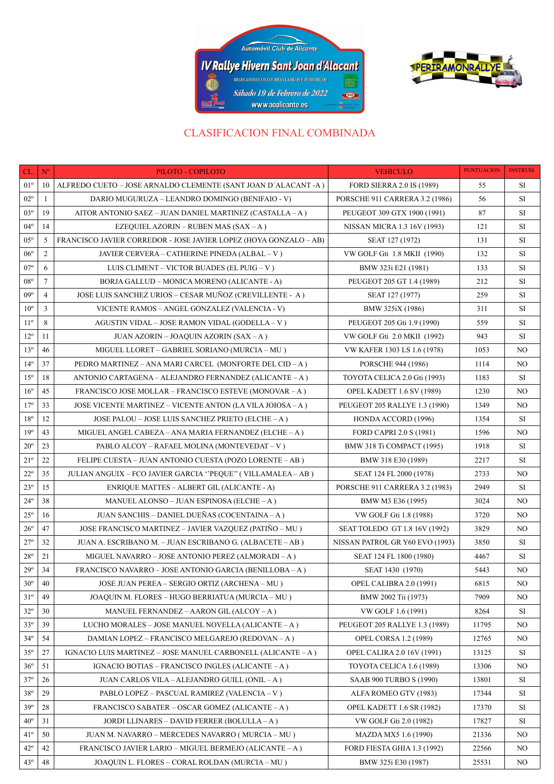



## CLASIFICACION FINAL COMBINADA

| CL.             | $\mathbf{N}^{\mathrm{o}}$ | PILOTO - COPILOTO                                                 | <b>VEHICULO</b>                   | <b>PUNTUACION</b> | <b>INSTRUM.</b> |
|-----------------|---------------------------|-------------------------------------------------------------------|-----------------------------------|-------------------|-----------------|
| $01^{\circ}$    | 10                        | ALFREDO CUETO – JOSE ARNALDO CLEMENTE (SANT JOAN D'ALACANT -A)    | FORD SIERRA 2.0 IS (1989)         | 55                | SI              |
| $02^{\circ}$    | -1                        | DARIO MUGURUZA - LEANDRO DOMINGO (BENIFAIO - V)                   | PORSCHE 911 CARRERA 3.2 (1986)    | 56                | SI              |
| $03^{\circ}$    | 19                        | AITOR ANTONIO SAEZ – JUAN DANIEL MARTINEZ (CASTALLA – A)          | PEUGEOT 309 GTX 1900 (1991)       | 87                | SI              |
| $04^{\circ}$    | 14                        | EZEQUIEL AZORIN – RUBEN MAS (SAX – A)                             | NISSAN MICRA 1.3 16V (1993)       | 121               | SI              |
| $05^{\circ}$    | 5                         | FRANCISCO JAVIER CORREDOR - JOSE JAVIER LOPEZ (HOYA GONZALO – AB) | SEAT 127 (1972)                   | 131               | SI              |
| $06^{\circ}$    | 2                         | JAVIER CERVERA – CATHERINE PINEDA (ALBAL – V)                     | VW GOLF Gti 1.8 MKII (1990)       | 132               | SI              |
| $07^{\circ}$    | 6                         | LUIS CLIMENT – VICTOR BUADES (EL PUIG – V)                        | BMW 323i E21 (1981)               | 133               | SI              |
| $08^{\circ}$    | $7\phantom{.0}$           | BORJA GALLUD - MONICA MORENO (ALICANTE - A)                       | PEUGEOT 205 GT 1.4 (1989)         | 212               | SI              |
| $09^{\circ}$    | $\overline{4}$            | JOSE LUIS SANCHEZ URIOS – CESAR MUÑOZ (CREVILLENTE - A)           | SEAT 127 (1977)                   | 259               | SI              |
| $10^{\circ}$    | 3                         | VICENTE RAMOS - ANGEL GONZALEZ (VALENCIA - V)                     | BMW 325iX (1986)                  | 311               | SI              |
| $11^{\circ}$    | 8                         | AGUSTIN VIDAL – JOSE RAMON VIDAL (GODELLA – V)                    | PEUGEOT 205 Gti 1.9 (1990)        | 559               | SI              |
| $12^{\circ}$    | 11                        | JUAN AZORIN - JOAQUIN AZORIN (SAX - A )                           | VW GOLF Gti 2.0 MKII (1992)       | 943               | SI              |
| $13^{\circ}$    | 46                        | MIGUEL LLORET - GABRIEL SORIANO (MURCIA - MU)                     | VW KAFER 1303 LS 1.6 (1978)       | 1053              | N <sub>O</sub>  |
| $14^{\circ}$    | 37                        | PEDRO MARTINEZ – ANA MARI CARCEL (MONFORTE DEL CID – A)           | PORSCHE 944 (1986)                | 1114              | NO.             |
| $15^{\circ}$    | 18                        | ANTONIO CARTAGENA – ALEJANDRO FERNANDEZ (ALICANTE – A)            | TOYOTA CELICA 2.0 Gti (1993)      | 1183              | SI              |
| 16 <sup>°</sup> | 45                        | <b>FRANCISCO JOSE MOLLAR – FRANCISCO ESTEVE (MONOVAR – A)</b>     | OPEL KADETT 1.6 SV (1989)         | 1230              | N <sub>O</sub>  |
| $17^{\circ}$    | 33                        | JOSE VICENTE MARTINEZ – VICENTE ANTON (LA VILA JOIOSA – A )       | PEUGEOT 205 RALLYE 1.3 (1990)     | 1349              | NO.             |
| $18^{\circ}$    | 12                        | JOSE PALOU - JOSE LUIS SANCHEZ PRIETO (ELCHE - A)                 | HONDA ACCORD (1996)               | 1354              | SI              |
| 19 <sup>°</sup> | 43                        | MIGUEL ANGEL CABEZA - ANA MARIA FERNANDEZ (ELCHE - A)             | FORD CAPRI 2.0 S (1981)           | 1596              | NO.             |
| $20^{\circ}$    | 23                        | PABLO ALCOY – RAFAEL MOLINA (MONTEVEDAT – V)                      | BMW 318 Ti COMPACT (1995)         | 1918              | SI              |
| $21^{\circ}$    | 22                        | FELIPE CUESTA – JUAN ANTONIO CUESTA (POZO LORENTE – AB)           | BMW 318 E30 (1989)                | 2217              | SI              |
| $22^{\circ}$    | 35                        | JULIAN ANGUIX – FCO JAVIER GARCIA "PEQUE" (VILLAMALEA – AB )      | SEAT 124 FL 2000 (1978)           | 2733              | NO.             |
| $23^{\circ}$    | 15                        | ENRIQUE MATTES – ALBERT GIL (ALICANTE - A)                        | PORSCHE 911 CARRERA 3.2 (1983)    | 2949              | SI              |
| $24^{\circ}$    | 38                        | MANUEL ALONSO - JUAN ESPINOSA (ELCHE - A)                         | BMW M3 E36 (1995)                 | 3024              | N <sub>O</sub>  |
| $25^{\circ}$    | 16                        | JUAN SANCHIS – DANIEL DUEÑAS (COCENTAINA – A)                     | VW GOLF Gti 1.8 (1988)            | 3720              | N <sub>O</sub>  |
| $26^{\circ}$    | 47                        | JOSE FRANCISCO MARTINEZ - JAVIER VAZQUEZ (PATIÑO - MU)            | SEAT TOLEDO GT 1.8 16V (1992)     | 3829              | NO.             |
| $27^{\circ}$    | 32                        | JUAN A. ESCRIBANO M. – JUAN ESCRIBANO G. (ALBACETE – AB)          | NISSAN PATROL GR Y60 EVO (1993)   | 3850              | SI              |
| $28^{\circ}$    | 21                        | MIGUEL NAVARRO - JOSE ANTONIO PEREZ (ALMORADI - A)                | SEAT 124 FL 1800 (1980)           | 4467              | SI              |
| $29^\circ$      | 34                        | FRANCISCO NAVARRO – JOSE ANTONIO GARCIA (BENILLOBA – A)           | SEAT 1430 (1970)                  | 5443              | NO.             |
| $30^{\circ}$    | 40                        | JOSE JUAN PEREA - SERGIO ORTIZ (ARCHENA - MU)                     | OPEL CALIBRA 2.0 (1991)           | 6815              | NO              |
| $31^\circ$      | 49                        | JOAQUIN M. FLORES – HUGO BERRIATUA (MURCIA – MU )                 | BMW 2002 Tii (1973)               | 7909              | NO.             |
| $32^{\circ}$    | 30                        | MANUEL FERNANDEZ – AARON GIL (ALCOY – A )                         | VW GOLF 1.6 (1991)                | 8264              | SI              |
| $33^\circ$      | 39                        | LUCHO MORALES - JOSE MANUEL NOVELLA (ALICANTE - A)                | PEUGEOT 205 RALLYE 1.3 (1989)     | 11795             | NO.             |
| $34^\circ$      | 54                        | DAMIAN LOPEZ - FRANCISCO MELGAREJO (REDOVAN - A)                  | <b>OPEL CORSA 1.2 (1989)</b>      | 12765             | NO.             |
| $35^\circ$      | 27                        | IGNACIO LUIS MARTINEZ – JOSE MANUEL CARBONELL (ALICANTE – A)      | <b>OPEL CALIRA 2.0 16V (1991)</b> | 13125             | SI              |
| $36^{\circ}$    | 51                        | IGNACIO BOTIAS – FRANCISCO INGLES (ALICANTE – A )                 | TOYOTA CELICA 1.6 (1989)          | 13306             | NO              |
| $37^{\circ}$    | 26                        | JUAN CARLOS VILA - ALEJANDRO GUILL (ONIL - A)                     | SAAB 900 TURBO S (1990)           | 13801             | SI              |
| $38^{\circ}$    | 29                        | PABLO LOPEZ - PASCUAL RAMIREZ (VALENCIA - V)                      | ALFA ROMEO GTV (1983)             | 17344             | SI              |
| 39°             | 28                        | FRANCISCO SABATER – OSCAR GOMEZ (ALICANTE – A)                    | OPEL KADETT 1.6 SR (1982)         | 17370             | SI              |
| $40^{\circ}$    | 31                        | JORDI LLINARES - DAVID FERRER (BOLULLA - A)                       | VW GOLF Gti 2.0 (1982)            | 17827             | SI              |
| $41^{\circ}$    | 50                        | JUAN M. NAVARRO – MERCEDES NAVARRO ( MURCIA – MU )                | MAZDA MX5 1.6 (1990)              | 21336             | NO.             |
| $42^{\circ}$    | 42                        | FRANCISCO JAVIER LARIO - MIGUEL BERMEJO (ALICANTE - A)            | FORD FIESTA GHIA 1.3 (1992)       | 22566             | NO.             |
| $43^\circ$      | 48                        | JOAQUIN L. FLORES – CORAL ROLDAN (MURCIA – MU)                    | BMW 325i E30 (1987)               | 25531             | NO              |